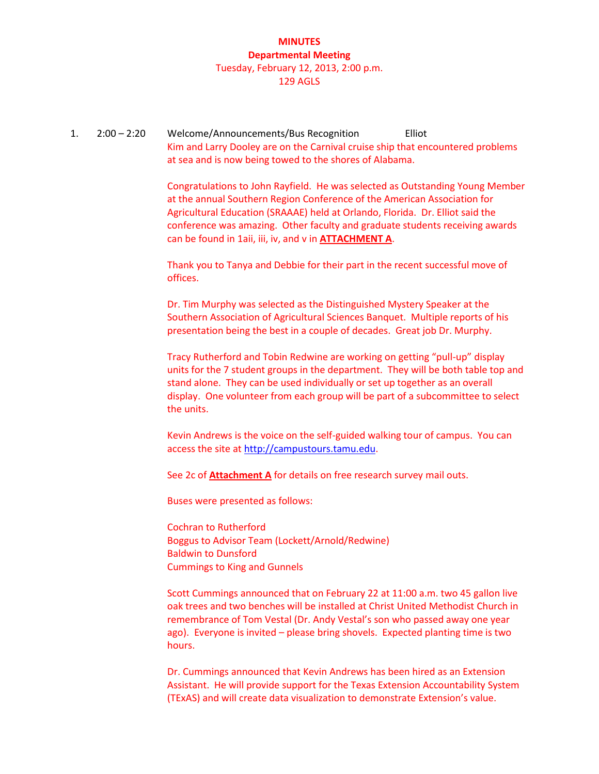### **MINUTES Departmental Meeting** Tuesday, February 12, 2013, 2:00 p.m. 129 AGLS

1. 2:00 – 2:20 Welcome/Announcements/Bus Recognition Elliot Kim and Larry Dooley are on the Carnival cruise ship that encountered problems at sea and is now being towed to the shores of Alabama.

> Congratulations to John Rayfield. He was selected as Outstanding Young Member at the annual Southern Region Conference of the American Association for Agricultural Education (SRAAAE) held at Orlando, Florida. Dr. Elliot said the conference was amazing. Other faculty and graduate students receiving awards can be found in 1aii, iii, iv, and v in **ATTACHMENT A**.

Thank you to Tanya and Debbie for their part in the recent successful move of offices.

Dr. Tim Murphy was selected as the Distinguished Mystery Speaker at the Southern Association of Agricultural Sciences Banquet. Multiple reports of his presentation being the best in a couple of decades. Great job Dr. Murphy.

Tracy Rutherford and Tobin Redwine are working on getting "pull-up" display units for the 7 student groups in the department. They will be both table top and stand alone. They can be used individually or set up together as an overall display. One volunteer from each group will be part of a subcommittee to select the units.

Kevin Andrews is the voice on the self-guided walking tour of campus. You can access the site a[t http://campustours.tamu.edu.](http://campustours.tamu.edu/)

See 2c of **Attachment A** for details on free research survey mail outs.

Buses were presented as follows:

Cochran to Rutherford Boggus to Advisor Team (Lockett/Arnold/Redwine) Baldwin to Dunsford Cummings to King and Gunnels

Scott Cummings announced that on February 22 at 11:00 a.m. two 45 gallon live oak trees and two benches will be installed at Christ United Methodist Church in remembrance of Tom Vestal (Dr. Andy Vestal's son who passed away one year ago). Everyone is invited – please bring shovels. Expected planting time is two hours.

Dr. Cummings announced that Kevin Andrews has been hired as an Extension Assistant. He will provide support for the Texas Extension Accountability System (TExAS) and will create data visualization to demonstrate Extension's value.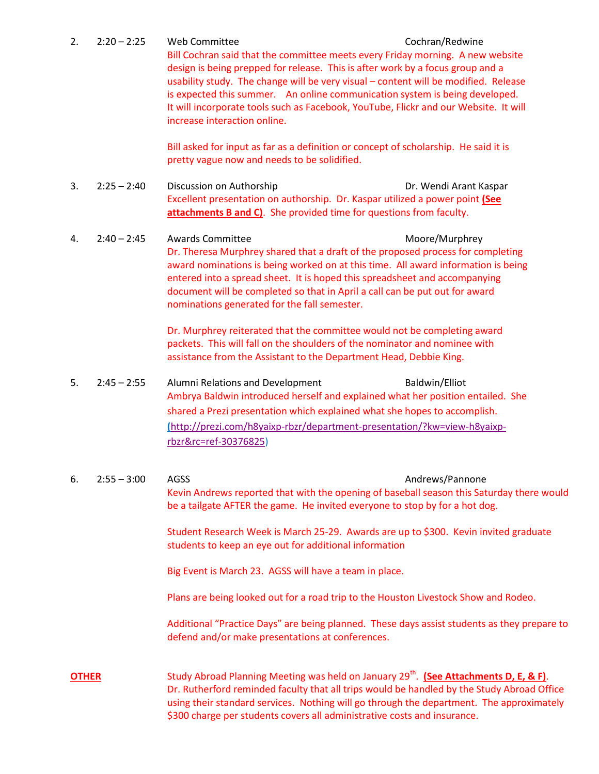### 2. 2:20 – 2:25 Web Committee Cochran/Redwine

Bill Cochran said that the committee meets every Friday morning. A new website design is being prepped for release. This is after work by a focus group and a usability study. The change will be very visual – content will be modified. Release is expected this summer. An online communication system is being developed. It will incorporate tools such as Facebook, YouTube, Flickr and our Website. It will increase interaction online.

Bill asked for input as far as a definition or concept of scholarship. He said it is pretty vague now and needs to be solidified.

- 3. 2:25 2:40 Discussion on Authorship Dr. Wendi Arant Kaspar Excellent presentation on authorship. Dr. Kaspar utilized a power point **(See attachments B and C)**. She provided time for questions from faculty.
- 4. 2:40 2:45 Awards Committee Moore/Murphrey Dr. Theresa Murphrey shared that a draft of the proposed process for completing award nominations is being worked on at this time. All award information is being entered into a spread sheet. It is hoped this spreadsheet and accompanying document will be completed so that in April a call can be put out for award nominations generated for the fall semester.

Dr. Murphrey reiterated that the committee would not be completing award packets. This will fall on the shoulders of the nominator and nominee with assistance from the Assistant to the Department Head, Debbie King.

- 5. 2:45 2:55 Alumni Relations and Development Baldwin/Elliot Ambrya Baldwin introduced herself and explained what her position entailed. She shared a Prezi presentation which explained what she hopes to accomplish. **(**[http://prezi.com/h8yaixp-rbzr/department-presentation/?kw=view-h8yaixp](http://prezi.com/h8yaixp-rbzr/department-presentation/?kw=view-h8yaixp-rbzr&rc=ref-30376825)[rbzr&rc=ref-30376825\)](http://prezi.com/h8yaixp-rbzr/department-presentation/?kw=view-h8yaixp-rbzr&rc=ref-30376825)
- 6. 2:55 3:00 AGSS Andrews/Pannone Kevin Andrews reported that with the opening of baseball season this Saturday there would be a tailgate AFTER the game. He invited everyone to stop by for a hot dog. Student Research Week is March 25-29. Awards are up to \$300. Kevin invited graduate students to keep an eye out for additional information Big Event is March 23. AGSS will have a team in place. Plans are being looked out for a road trip to the Houston Livestock Show and Rodeo.

Additional "Practice Days" are being planned. These days assist students as they prepare to defend and/or make presentations at conferences.

**OTHER** Study Abroad Planning Meeting was held on January 29<sup>th</sup>. (See Attachments D, E, & F). Dr. Rutherford reminded faculty that all trips would be handled by the Study Abroad Office using their standard services. Nothing will go through the department. The approximately \$300 charge per students covers all administrative costs and insurance.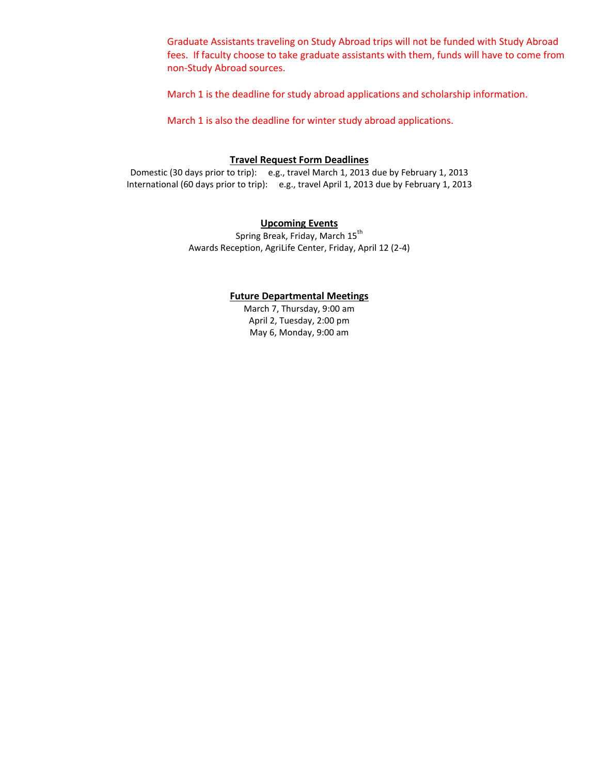Graduate Assistants traveling on Study Abroad trips will not be funded with Study Abroad fees. If faculty choose to take graduate assistants with them, funds will have to come from non-Study Abroad sources.

March 1 is the deadline for study abroad applications and scholarship information.

March 1 is also the deadline for winter study abroad applications.

### **Travel Request Form Deadlines**

Domestic (30 days prior to trip): e.g., travel March 1, 2013 due by February 1, 2013 International (60 days prior to trip): e.g., travel April 1, 2013 due by February 1, 2013

### **Upcoming Events**

Spring Break, Friday, March 15<sup>th</sup> Awards Reception, AgriLife Center, Friday, April 12 (2-4)

#### **Future Departmental Meetings**

March 7, Thursday, 9:00 am April 2, Tuesday, 2:00 pm May 6, Monday, 9:00 am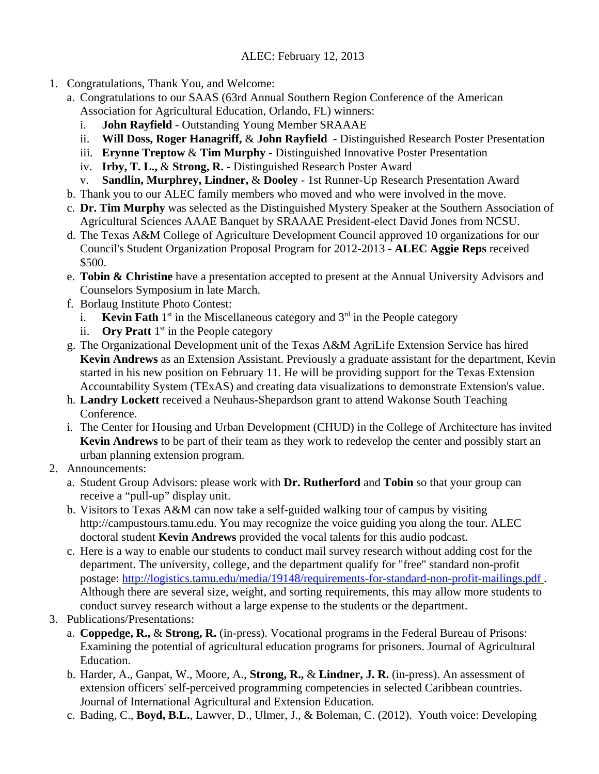### ALEC: February 12, 2013

- 1. Congratulations, Thank You, and Welcome:
	- a. Congratulations to our SAAS (63rd Annual Southern Region Conference of the American Association for Agricultural Education, Orlando, FL) winners:
		- i. **John Rayfield** Outstanding Young Member SRAAAE
		- ii. **Will Doss, Roger Hanagriff,** & **John Rayfield**  Distinguished Research Poster Presentation
		- iii. **Erynne Treptow** & **Tim Murphy**  Distinguished Innovative Poster Presentation
		- iv. **Irby, T. L.,** & **Strong, R.** Distinguished Research Poster Award
		- v. **Sandlin, Murphrey, Lindner,** & **Dooley** 1st Runner-Up Research Presentation Award
	- b. Thank you to our ALEC family members who moved and who were involved in the move.
	- c. **Dr. Tim Murphy** was selected as the Distinguished Mystery Speaker at the Southern Association of Agricultural Sciences AAAE Banquet by SRAAAE President-elect David Jones from NCSU.
	- d. The Texas A&M College of Agriculture Development Council approved 10 organizations for our Council's Student Organization Proposal Program for 2012-2013 - **ALEC Aggie Reps** received \$500.
	- e. **Tobin & Christine** have a presentation accepted to present at the Annual University Advisors and Counselors Symposium in late March.
	- f. Borlaug Institute Photo Contest:
		- i. **Kevin Fath**  $1^{st}$  in the Miscellaneous category and  $3^{rd}$  in the People category
		- ii. **Ory Pratt**  $1<sup>st</sup>$  in the People category
	- g. The Organizational Development unit of the Texas A&M AgriLife Extension Service has hired **Kevin Andrews** as an Extension Assistant. Previously a graduate assistant for the department, Kevin started in his new position on February 11. He will be providing support for the Texas Extension Accountability System (TExAS) and creating data visualizations to demonstrate Extension's value.
	- h. **Landry Lockett** received a Neuhaus-Shepardson grant to attend Wakonse South Teaching Conference.
	- i. The Center for Housing and Urban Development (CHUD) in the College of Architecture has invited **Kevin Andrews** to be part of their team as they work to redevelop the center and possibly start an urban planning extension program.
- 2. Announcements:
	- a. Student Group Advisors: please work with **Dr. Rutherford** and **Tobin** so that your group can receive a "pull-up" display unit.
	- b. Visitors to Texas A&M can now take a self-guided walking tour of campus by visiting http://campustours.tamu.edu. You may recognize the voice guiding you along the tour. ALEC doctoral student **Kevin Andrews** provided the vocal talents for this audio podcast.
	- c. Here is a way to enable our students to conduct mail survey research without adding cost for the department. The university, college, and the department qualify for "free" standard non-profit postage: http://logistics.tamu.edu/media/19148/requirements-for-standard-non-profit-mailings.pdf . Although there are several size, weight, and sorting requirements, this may allow more students to conduct survey research without a large expense to the students or the department.
- 3. Publications/Presentations:
	- a. **Coppedge, R.,** & **Strong, R.** (in-press). Vocational programs in the Federal Bureau of Prisons: Examining the potential of agricultural education programs for prisoners. Journal of Agricultural Education.
	- b. Harder, A., Ganpat, W., Moore, A., **Strong, R.,** & **Lindner, J. R.** (in-press). An assessment of extension officers' self-perceived programming competencies in selected Caribbean countries. Journal of International Agricultural and Extension Education.
	- c. Bading, C., **Boyd, B.L.**, Lawver, D., Ulmer, J., & Boleman, C. (2012). Youth voice: Developing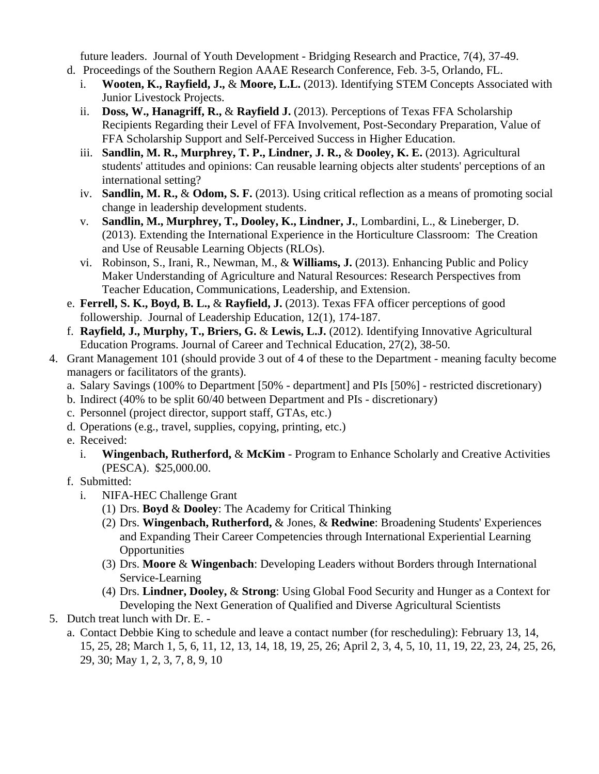future leaders. Journal of Youth Development - Bridging Research and Practice, 7(4), 37-49.

- d. Proceedings of the Southern Region AAAE Research Conference, Feb. 3-5, Orlando, FL.
	- i. **Wooten, K., Rayfield, J.,** & **Moore, L.L.** (2013). Identifying STEM Concepts Associated with Junior Livestock Projects.
	- ii. **Doss, W., Hanagriff, R.,** & **Rayfield J.** (2013). Perceptions of Texas FFA Scholarship Recipients Regarding their Level of FFA Involvement, Post-Secondary Preparation, Value of FFA Scholarship Support and Self-Perceived Success in Higher Education.
	- iii. **Sandlin, M. R., Murphrey, T. P., Lindner, J. R.,** & **Dooley, K. E.** (2013). Agricultural students' attitudes and opinions: Can reusable learning objects alter students' perceptions of an international setting?
	- iv. **Sandlin, M. R.,** & **Odom, S. F.** (2013). Using critical reflection as a means of promoting social change in leadership development students.
	- v. **Sandlin, M., Murphrey, T., Dooley, K., Lindner, J.**, Lombardini, L., & Lineberger, D. (2013). Extending the International Experience in the Horticulture Classroom: The Creation and Use of Reusable Learning Objects (RLOs).
	- vi. Robinson, S., Irani, R., Newman, M., & **Williams, J.** (2013). Enhancing Public and Policy Maker Understanding of Agriculture and Natural Resources: Research Perspectives from Teacher Education, Communications, Leadership, and Extension.
- e. **Ferrell, S. K., Boyd, B. L.,** & **Rayfield, J.** (2013). Texas FFA officer perceptions of good followership. Journal of Leadership Education, 12(1), 174-187.
- f. **Rayfield, J., Murphy, T., Briers, G.** & **Lewis, L.J.** (2012). Identifying Innovative Agricultural Education Programs. Journal of Career and Technical Education, 27(2), 38-50.
- 4. Grant Management 101 (should provide 3 out of 4 of these to the Department meaning faculty become managers or facilitators of the grants).
	- a. Salary Savings (100% to Department [50% department] and PIs [50%] restricted discretionary)
	- b. Indirect (40% to be split 60/40 between Department and PIs discretionary)
	- c. Personnel (project director, support staff, GTAs, etc.)
	- d. Operations (e.g., travel, supplies, copying, printing, etc.)
	- e. Received:
		- i. **Wingenbach, Rutherford,** & **McKim** Program to Enhance Scholarly and Creative Activities (PESCA). \$25,000.00.
	- f. Submitted:
		- i. NIFA-HEC Challenge Grant
			- (1) Drs. **Boyd** & **Dooley**: The Academy for Critical Thinking
			- (2) Drs. **Wingenbach, Rutherford,** & Jones, & **Redwine**: Broadening Students' Experiences and Expanding Their Career Competencies through International Experiential Learning **Opportunities**
			- (3) Drs. **Moore** & **Wingenbach**: Developing Leaders without Borders through International Service-Learning
			- (4) Drs. **Lindner, Dooley,** & **Strong**: Using Global Food Security and Hunger as a Context for Developing the Next Generation of Qualified and Diverse Agricultural Scientists
- 5. Dutch treat lunch with Dr. E.
	- a. Contact Debbie King to schedule and leave a contact number (for rescheduling): February 13, 14, 15, 25, 28; March 1, 5, 6, 11, 12, 13, 14, 18, 19, 25, 26; April 2, 3, 4, 5, 10, 11, 19, 22, 23, 24, 25, 26, 29, 30; May 1, 2, 3, 7, 8, 9, 10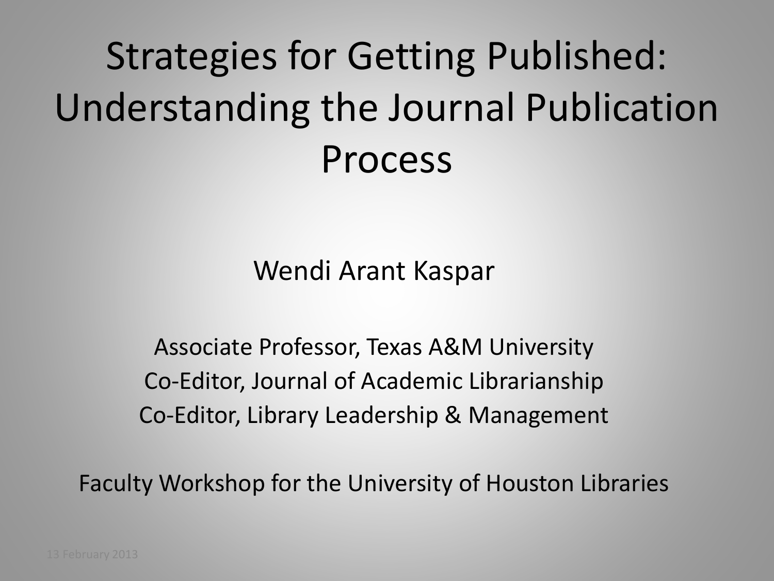## Strategies for Getting Published: Understanding the Journal Publication Process

Wendi Arant Kaspar

Associate Professor, Texas A&M University Co-Editor, Journal of Academic Librarianship Co-Editor, Library Leadership & Management

Faculty Workshop for the University of Houston Libraries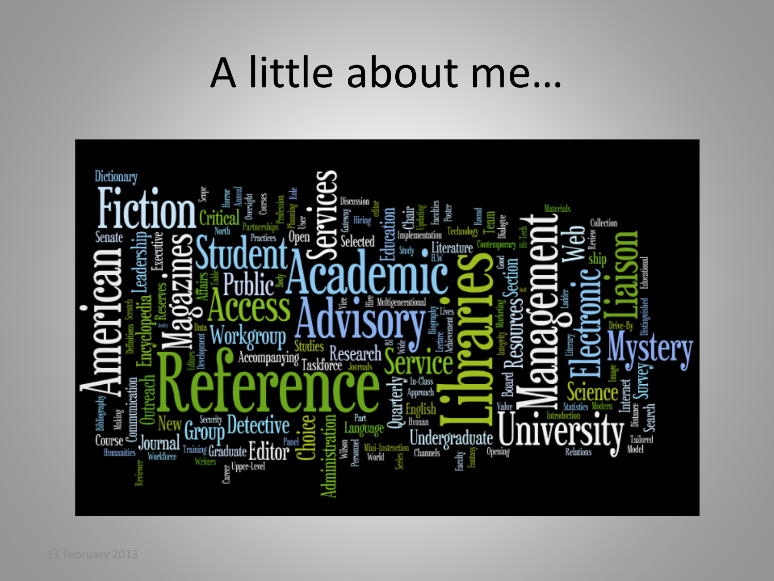## A little about me…

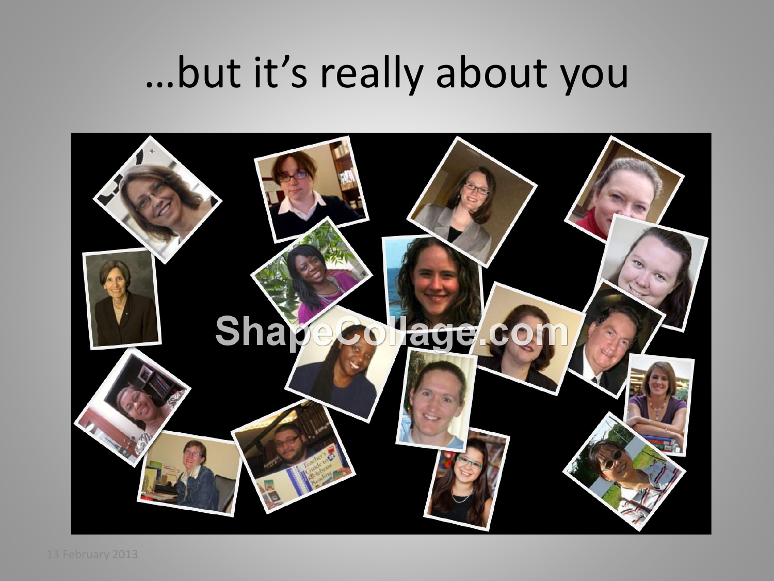## …but it's really about you

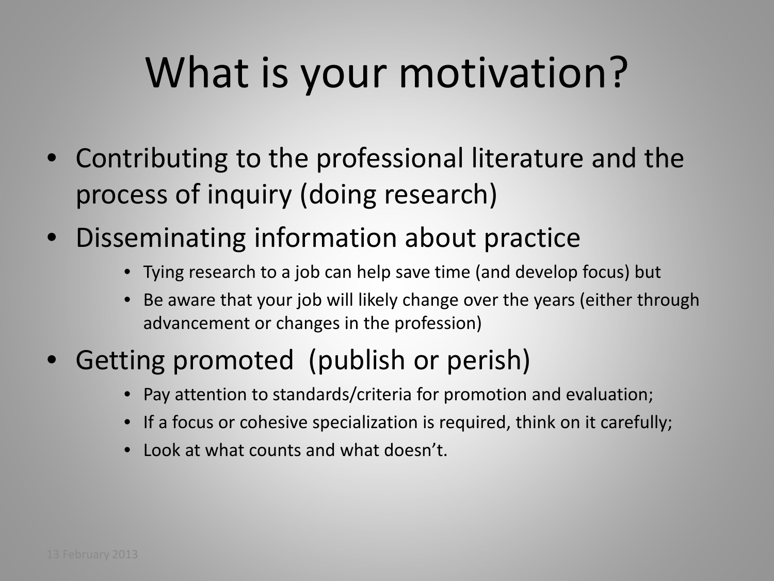## What is your motivation?

- Contributing to the professional literature and the process of inquiry (doing research)
- Disseminating information about practice
	- Tying research to a job can help save time (and develop focus) but
	- Be aware that your job will likely change over the years (either through advancement or changes in the profession)
- Getting promoted (publish or perish)
	- Pay attention to standards/criteria for promotion and evaluation;
	- If a focus or cohesive specialization is required, think on it carefully;
	- Look at what counts and what doesn't.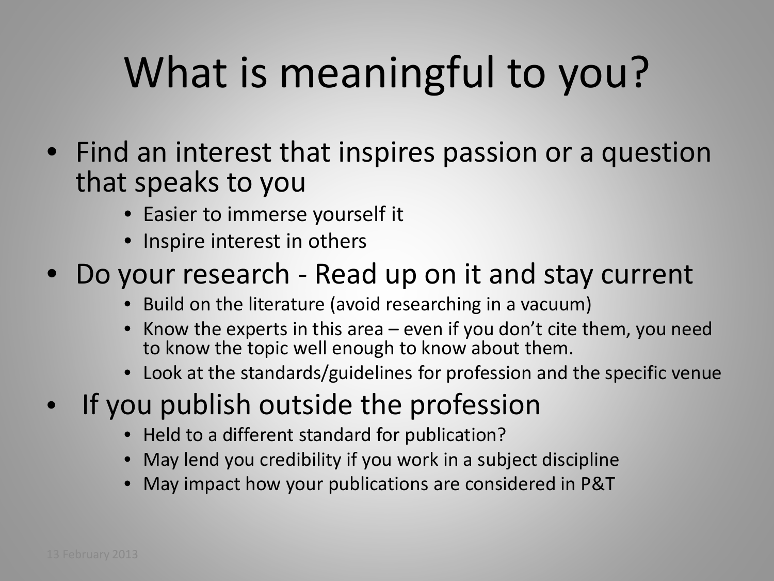# What is meaningful to you?

- Find an interest that inspires passion or a question that speaks to you
	- Easier to immerse yourself it
	- Inspire interest in others
- Do your research Read up on it and stay current
	- Build on the literature (avoid researching in a vacuum)
	- Know the experts in this area  $-$  even if you don't cite them, you need to know the topic well enough to know about them.
	- Look at the standards/guidelines for profession and the specific venue
- If you publish outside the profession
	- Held to a different standard for publication?
	- May lend you credibility if you work in a subject discipline
	- May impact how your publications are considered in P&T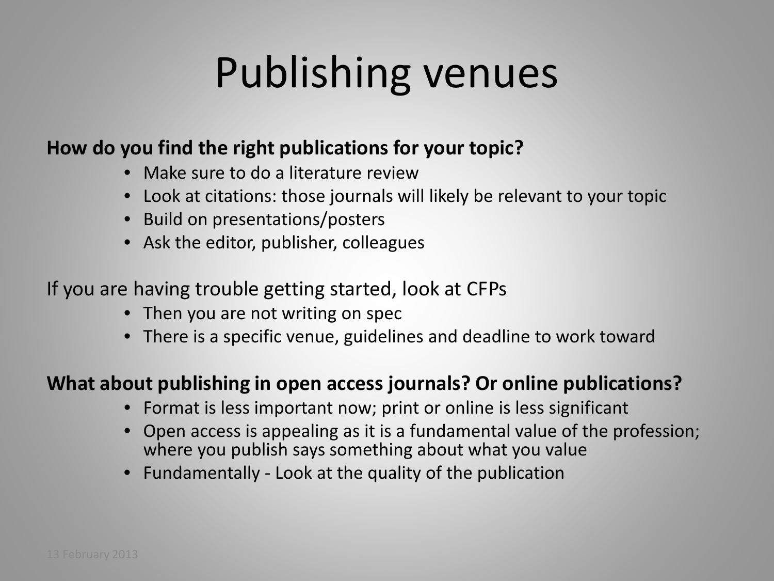## Publishing venues

### **How do you find the right publications for your topic?**

- Make sure to do a literature review
- Look at citations: those journals will likely be relevant to your topic
- Build on presentations/posters
- Ask the editor, publisher, colleagues

### If you are having trouble getting started, look at CFPs

- Then you are not writing on spec
- There is a specific venue, guidelines and deadline to work toward

### **What about publishing in open access journals? Or online publications?**

- Format is less important now; print or online is less significant
- Open access is appealing as it is a fundamental value of the profession; where you publish says something about what you value
- Fundamentally Look at the quality of the publication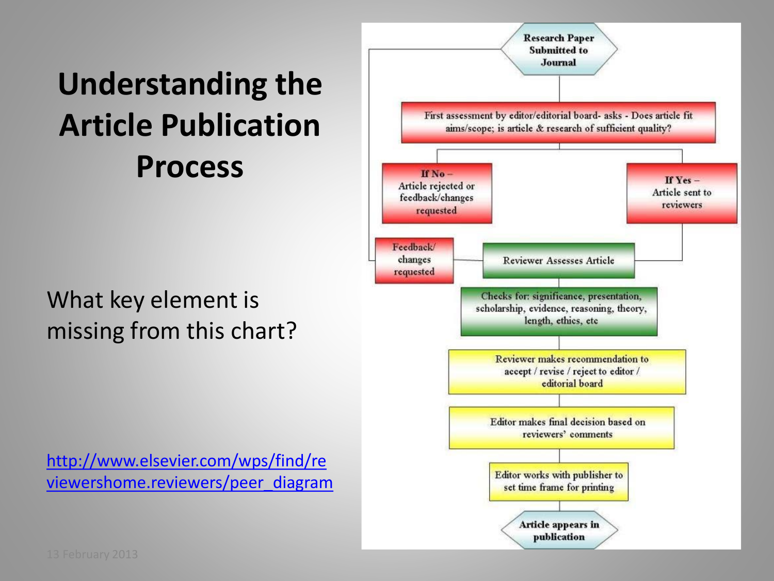## **Understanding the Article Publication Process**

## What key element is missing from this chart?

[http://www.elsevier.com/wps/find/re](http://www.elsevier.com/wps/find/reviewershome.reviewers/peer_diagram) [viewershome.reviewers/peer\\_diagram](http://www.elsevier.com/wps/find/reviewershome.reviewers/peer_diagram)

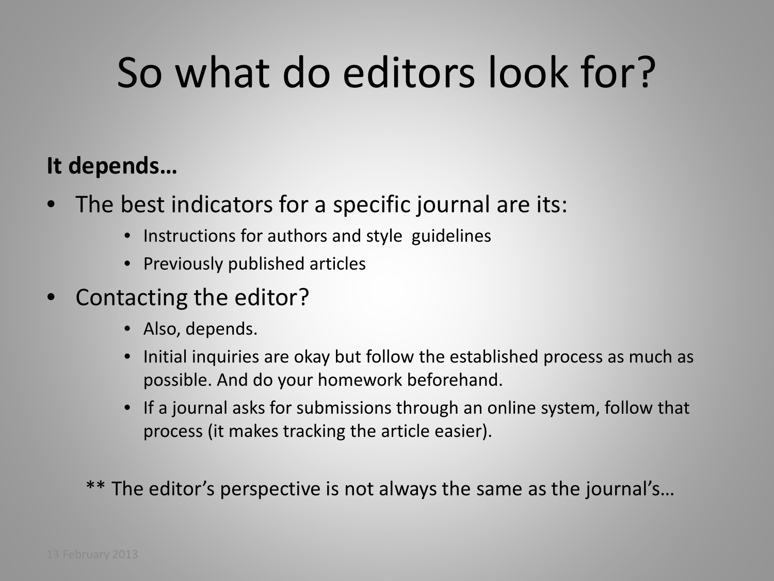## So what do editors look for?

## **It depends…**

- The best indicators for a specific journal are its:
	- Instructions for authors and style guidelines
	- Previously published articles
- Contacting the editor?
	- Also, depends.
	- Initial inquiries are okay but follow the established process as much as possible. And do your homework beforehand.
	- If a journal asks for submissions through an online system, follow that process (it makes tracking the article easier).

\*\* The editor's perspective is not always the same as the journal's...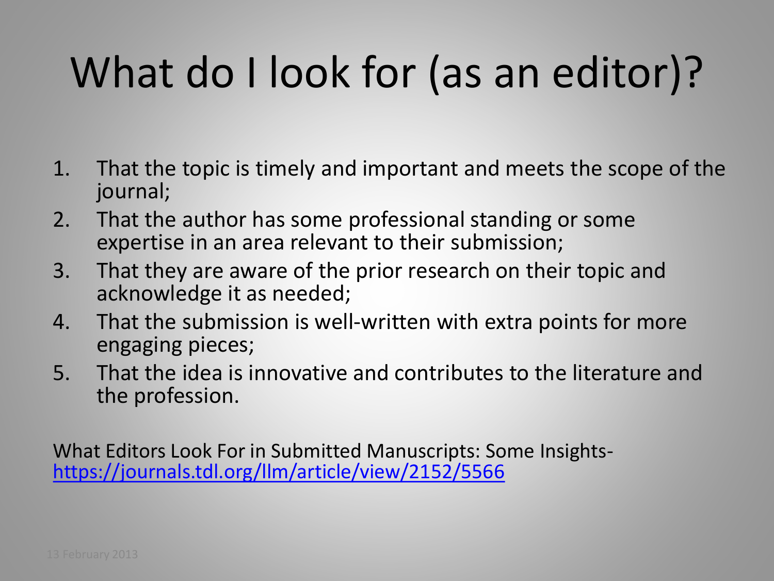# What do I look for (as an editor)?

- 1. That the topic is timely and important and meets the scope of the journal;
- 2. That the author has some professional standing or some expertise in an area relevant to their submission;
- 3. That they are aware of the prior research on their topic and acknowledge it as needed;
- 4. That the submission is well-written with extra points for more engaging pieces;
- 5. That the idea is innovative and contributes to the literature and the profession.

What Editors Look For in Submitted Manuscripts: Some Insights-<br><https://journals.tdl.org/llm/article/view/2152/5566>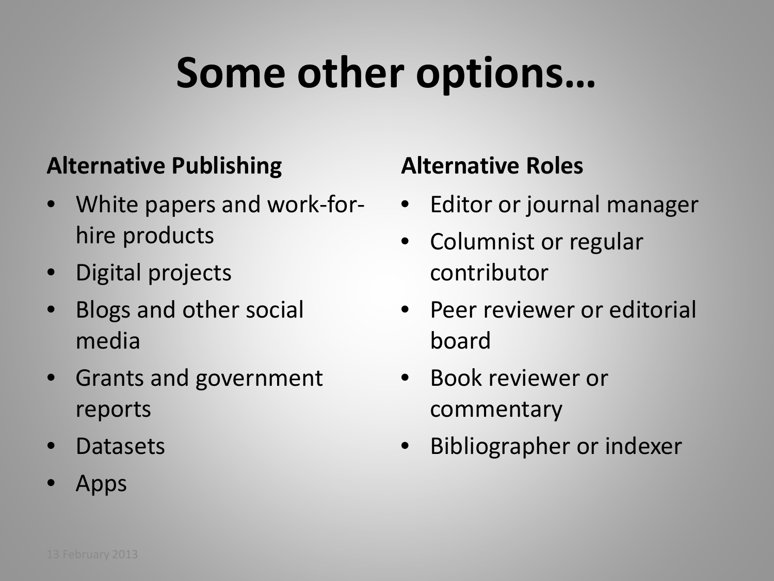## **Some other options…**

### **Alternative Publishing**

- White papers and work-forhire products
- Digital projects
- Blogs and other social media
- Grants and government reports
- Datasets
- Apps

## **Alternative Roles**

- Editor or journal manager
- Columnist or regular contributor
- Peer reviewer or editorial board
- Book reviewer or commentary
- Bibliographer or indexer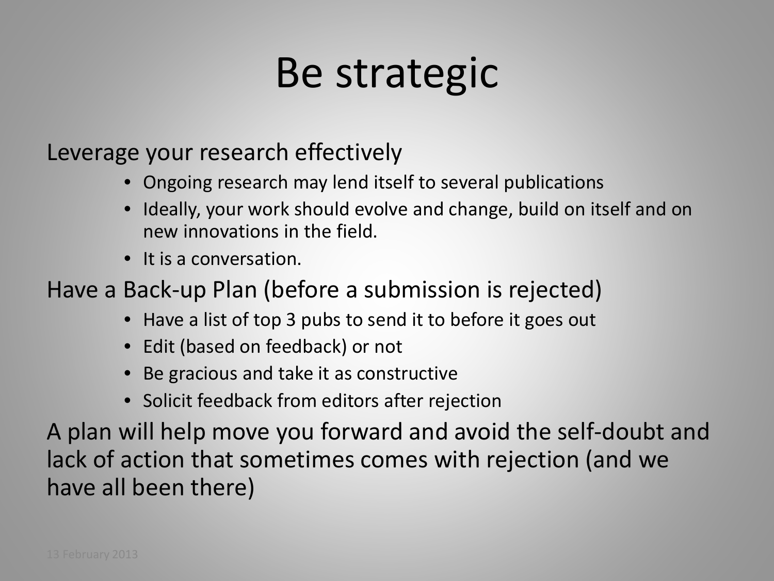## Be strategic

Leverage your research effectively

- Ongoing research may lend itself to several publications
- Ideally, your work should evolve and change, build on itself and on new innovations in the field.
- It is a conversation.

Have a Back-up Plan (before a submission is rejected)

- Have a list of top 3 pubs to send it to before it goes out
- Edit (based on feedback) or not
- Be gracious and take it as constructive
- Solicit feedback from editors after rejection

A plan will help move you forward and avoid the self-doubt and lack of action that sometimes comes with rejection (and we have all been there)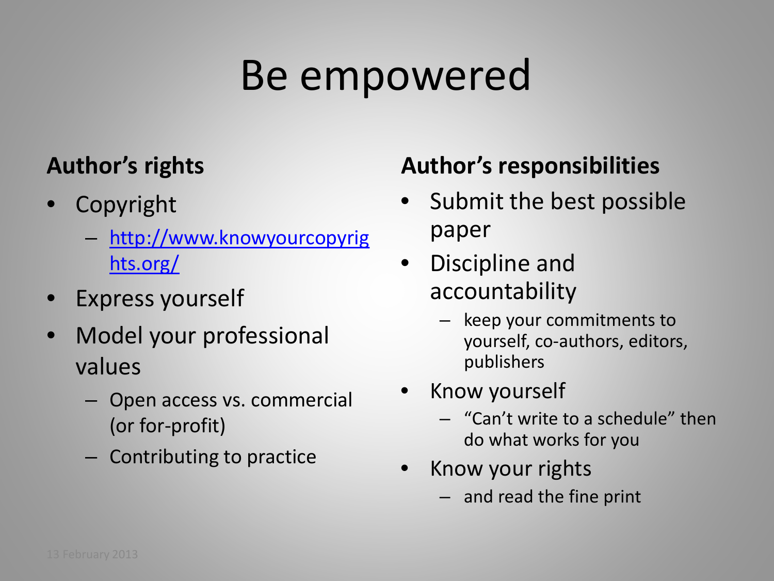## Be empowered

## **Author's rights**

- **Copyright** 
	- [http://www.knowyourcopyrig](http://www.knowyourcopyrights.org/) [hts.org/](http://www.knowyourcopyrights.org/)
- Express yourself
- Model your professional values
	- Open access vs. commercial (or for-profit)
	- Contributing to practice

## **Author's responsibilities**

- Submit the best possible paper
- Discipline and accountability
	- keep your commitments to yourself, co-authors, editors, publishers
- Know yourself
	- "Can't write to a schedule" then do what works for you
- Know your rights
	- and read the fine print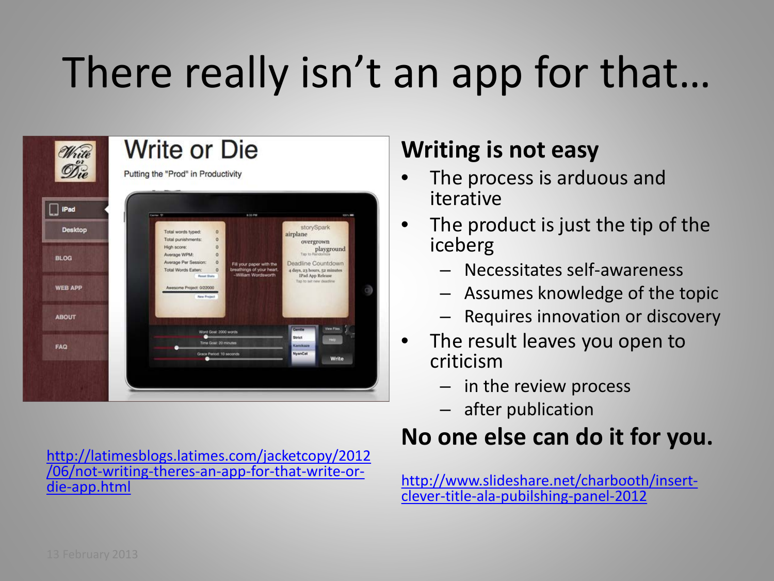# There really isn't an app for that…



[http://latimesblogs.latimes.com/jacketcopy/2012](http://latimesblogs.latimes.com/jacketcopy/2012/06/not-writing-theres-an-app-for-that-write-or-die-app.html) [/06/not-writing-theres-an-app-for-that-write-or-](http://latimesblogs.latimes.com/jacketcopy/2012/06/not-writing-theres-an-app-for-that-write-or-die-app.html) [die-app.html](http://latimesblogs.latimes.com/jacketcopy/2012/06/not-writing-theres-an-app-for-that-write-or-die-app.html)

### **Writing is not easy**

- The process is arduous and iterative
- The product is just the tip of the iceberg
	- Necessitates self-awareness
	- Assumes knowledge of the topic
	- Requires innovation or discovery
- The result leaves you open to criticism
	- in the review process
	- after publication

## **[N](http://www.slideshare.net/charbooth/insert-clever-title-ala-pubilshing-panel-2012)o one else can do it for you.**

[http://www.slideshare.net/charbooth/insert-](http://www.slideshare.net/charbooth/insert-clever-title-ala-pubilshing-panel-2012) [clever-title-ala-pubilshing-panel-2012](http://www.slideshare.net/charbooth/insert-clever-title-ala-pubilshing-panel-2012)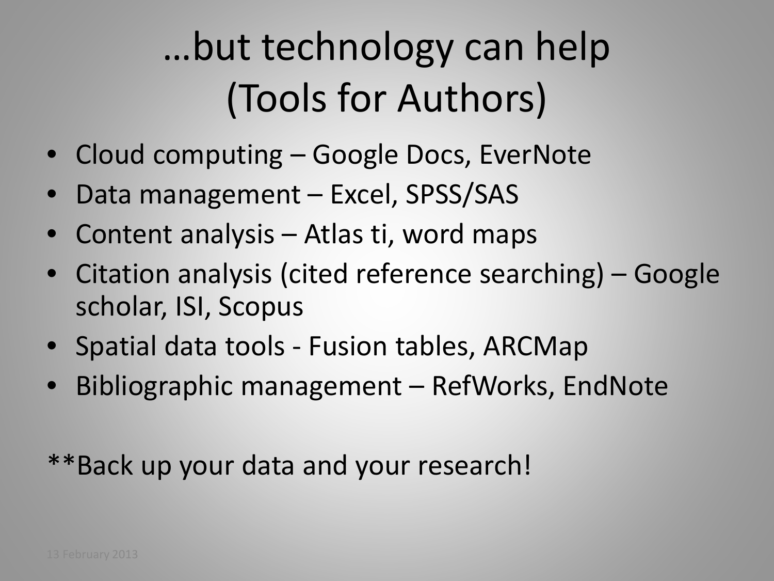## …but technology can help (Tools for Authors)

- Cloud computing Google Docs, EverNote
- Data management Excel, SPSS/SAS
- Content analysis Atlas ti, word maps
- Citation analysis (cited reference searching) Google scholar, ISI, Scopus
- Spatial data tools Fusion tables, ARCMap
- Bibliographic management RefWorks, EndNote

\*\*Back up your data and your research!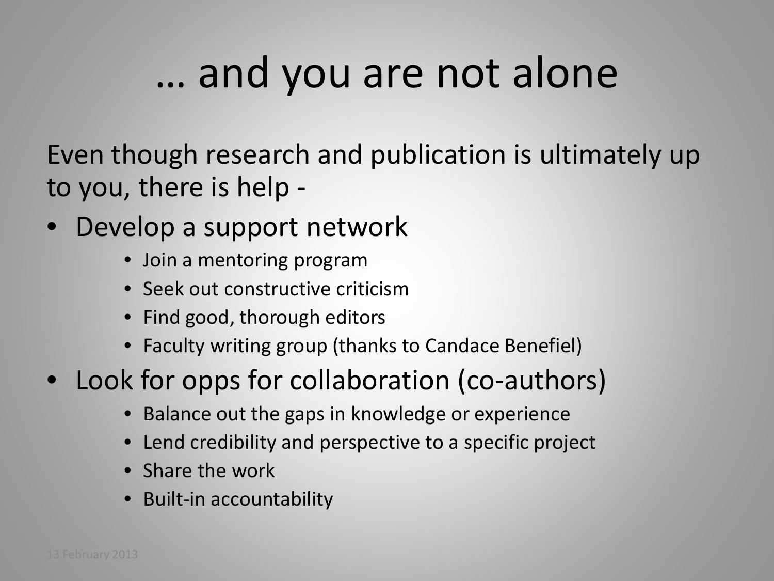## … and you are not alone

Even though research and publication is ultimately up to you, there is help -

- Develop a support network
	- Join a mentoring program
	- Seek out constructive criticism
	- Find good, thorough editors
	- Faculty writing group (thanks to Candace Benefiel)
- Look for opps for collaboration (co-authors)
	- Balance out the gaps in knowledge or experience
	- Lend credibility and perspective to a specific project
	- Share the work
	- Built-in accountability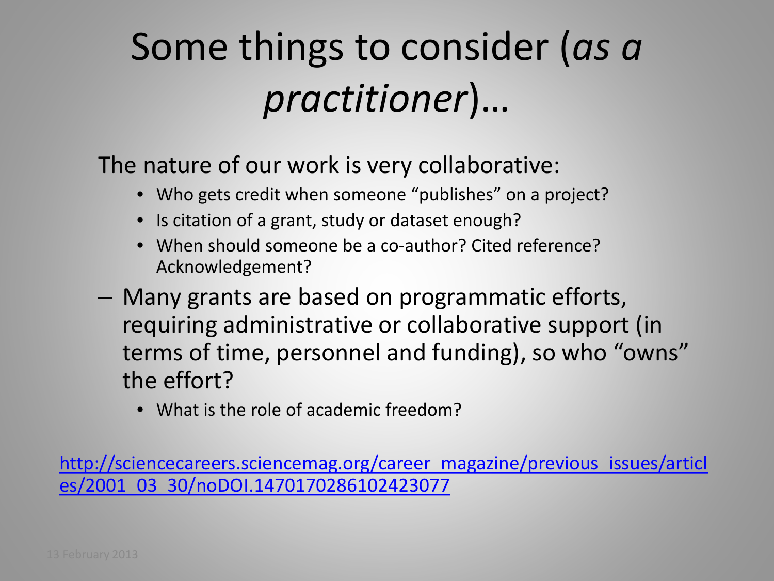## Some things to consider (*as a practitioner*)…

The nature of our work is very collaborative:

- Who gets credit when someone "publishes" on a project?
- Is citation of a grant, study or dataset enough?
- When should someone be a co-author? Cited reference? Acknowledgement?
- Many grants are based on programmatic efforts, requiring administrative or collaborative support (in terms of time, personnel and funding), so who "owns" the effort?
	- What is the role of academic freedom?

[http://sciencecareers.sciencemag.org/career\\_magazine/previous\\_issues/articl](http://sciencecareers.sciencemag.org/career_magazine/previous_issues/articles/2001_03_30/noDOI.1470170286102423077) [es/2001\\_03\\_30/noDOI.1470170286102423077](http://sciencecareers.sciencemag.org/career_magazine/previous_issues/articles/2001_03_30/noDOI.1470170286102423077)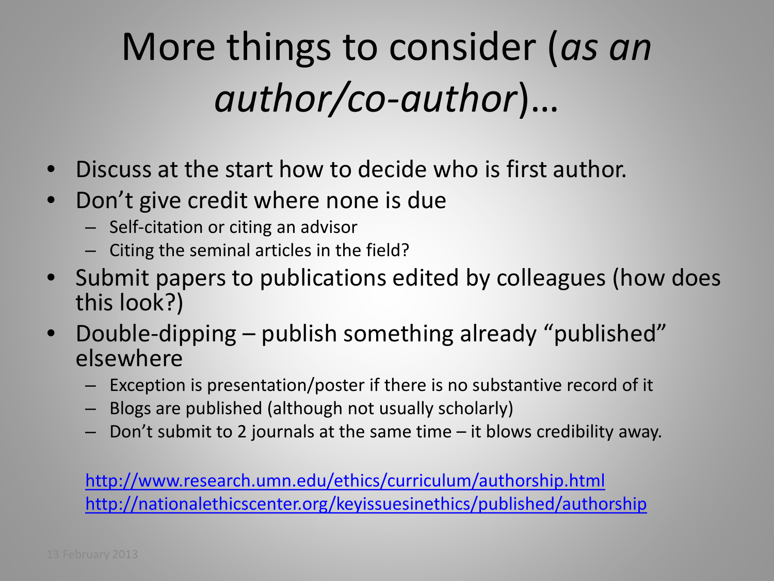## More things to consider (*as an author/co-author*)…

- Discuss at the start how to decide who is first author.
- Don't give credit where none is due
	- Self-citation or citing an advisor
	- Citing the seminal articles in the field?
- Submit papers to publications edited by colleagues (how does this look?)
- Double-dipping publish something already "published" elsewhere
	- Exception is presentation/poster if there is no substantive record of it
	- Blogs are published (although not usually scholarly)
	- Don't submit to 2 journals at the same time it blows credibility away.

<http://www.research.umn.edu/ethics/curriculum/authorship.html> <http://nationalethicscenter.org/keyissuesinethics/published/authorship>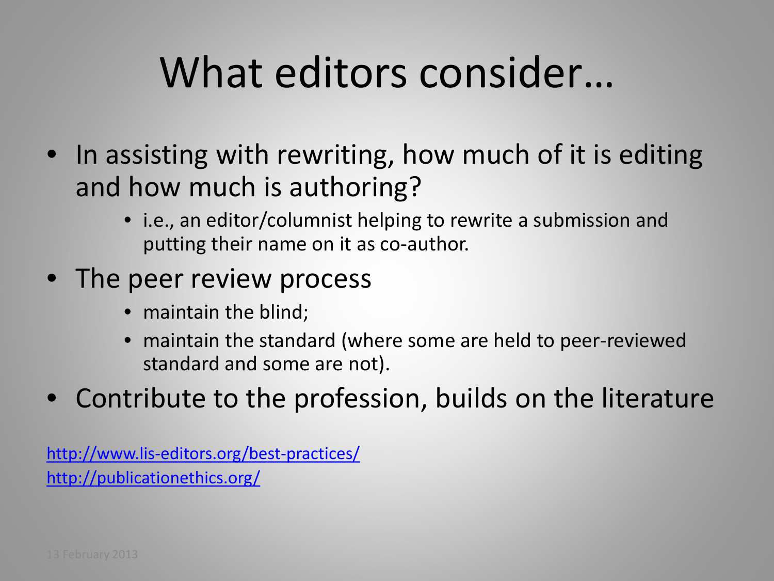## What editors consider…

- In assisting with rewriting, how much of it is editing and how much is authoring?
	- i.e., an editor/columnist helping to rewrite a submission and putting their name on it as co-author.
- The peer review process
	- maintain the blind;
	- maintain the standard (where some are held to peer-reviewed standard and some are not).
- Contribute to the profession, builds on the literature

<http://www.lis-editors.org/best-practices/> <http://publicationethics.org/>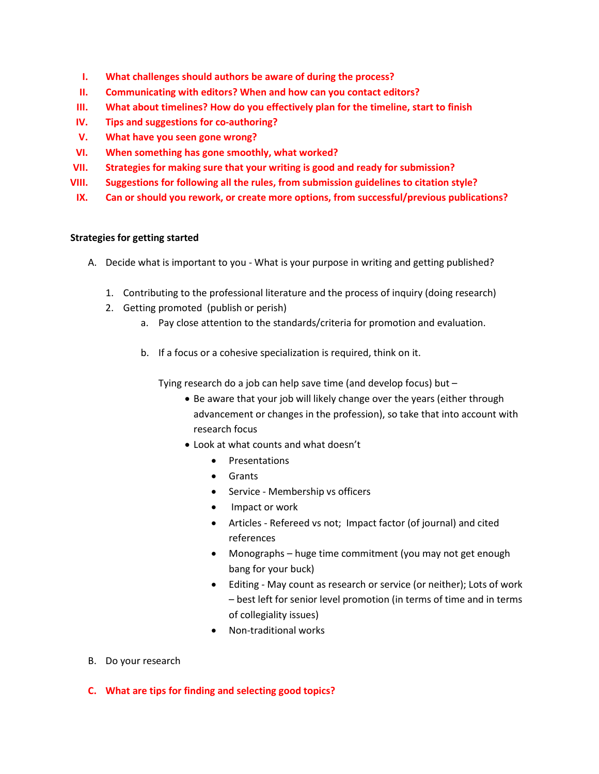- **I. What challenges should authors be aware of during the process?**
- **II. Communicating with editors? When and how can you contact editors?**
- **III. What about timelines? How do you effectively plan for the timeline, start to finish**
- **IV. Tips and suggestions for co-authoring?**
- **V. What have you seen gone wrong?**
- **VI. When something has gone smoothly, what worked?**
- **VII. Strategies for making sure that your writing is good and ready for submission?**
- **VIII. Suggestions for following all the rules, from submission guidelines to citation style?**
- **IX. Can or should you rework, or create more options, from successful/previous publications?**

### **Strategies for getting started**

- A. Decide what is important to you What is your purpose in writing and getting published?
	- 1. Contributing to the professional literature and the process of inquiry (doing research)
	- 2. Getting promoted (publish or perish)
		- a. Pay close attention to the standards/criteria for promotion and evaluation.
		- b. If a focus or a cohesive specialization is required, think on it.

Tying research do a job can help save time (and develop focus) but –

- Be aware that your job will likely change over the years (either through advancement or changes in the profession), so take that into account with research focus
- Look at what counts and what doesn't
	- Presentations
	- Grants
	- Service Membership vs officers
	- Impact or work
	- Articles Refereed vs not; Impact factor (of journal) and cited references
	- Monographs huge time commitment (you may not get enough bang for your buck)
	- Editing May count as research or service (or neither); Lots of work – best left for senior level promotion (in terms of time and in terms of collegiality issues)
	- Non-traditional works
- B. Do your research
- **C. What are tips for finding and selecting good topics?**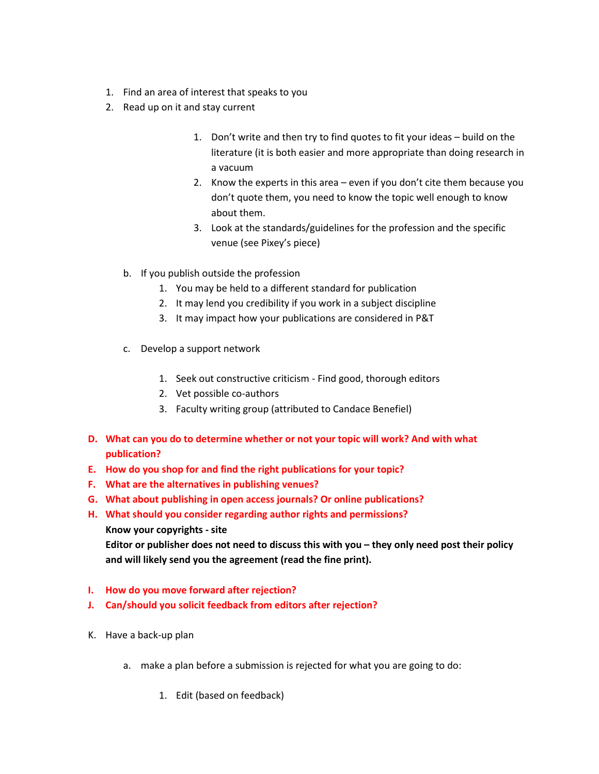- 1. Find an area of interest that speaks to you
- 2. Read up on it and stay current
	- 1. Don't write and then try to find quotes to fit your ideas build on the literature (it is both easier and more appropriate than doing research in a vacuum
	- 2. Know the experts in this area even if you don't cite them because you don't quote them, you need to know the topic well enough to know about them.
	- 3. Look at the standards/guidelines for the profession and the specific venue (see Pixey's piece)
	- b. If you publish outside the profession
		- 1. You may be held to a different standard for publication
		- 2. It may lend you credibility if you work in a subject discipline
		- 3. It may impact how your publications are considered in P&T
	- c. Develop a support network
		- 1. Seek out constructive criticism Find good, thorough editors
		- 2. Vet possible co-authors
		- 3. Faculty writing group (attributed to Candace Benefiel)
- **D. What can you do to determine whether or not your topic will work? And with what publication?**
- **E. How do you shop for and find the right publications for your topic?**
- **F. What are the alternatives in publishing venues?**
- **G. What about publishing in open access journals? Or online publications?**
- **H. What should you consider regarding author rights and permissions?**
	- **Know your copyrights - site**

**Editor or publisher does not need to discuss this with you – they only need post their policy and will likely send you the agreement (read the fine print).**

- **I. How do you move forward after rejection?**
- **J. Can/should you solicit feedback from editors after rejection?**
- K. Have a back-up plan
	- a. make a plan before a submission is rejected for what you are going to do:
		- 1. Edit (based on feedback)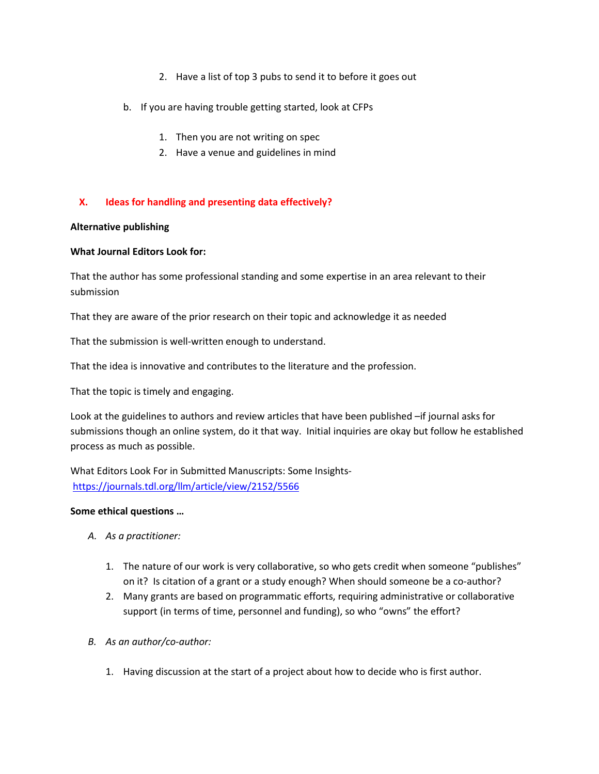- 2. Have a list of top 3 pubs to send it to before it goes out
- b. If you are having trouble getting started, look at CFPs
	- 1. Then you are not writing on spec
	- 2. Have a venue and guidelines in mind

### **X. Ideas for handling and presenting data effectively?**

### **Alternative publishing**

### **What Journal Editors Look for:**

That the author has some professional standing and some expertise in an area relevant to their submission

That they are aware of the prior research on their topic and acknowledge it as needed

That the submission is well-written enough to understand.

That the idea is innovative and contributes to the literature and the profession.

That the topic is timely and engaging.

Look at the guidelines to authors and review articles that have been published –if journal asks for submissions though an online system, do it that way. Initial inquiries are okay but follow he established process as much as possible.

What Editors Look For in Submitted Manuscripts: Some Insights<https://journals.tdl.org/llm/article/view/2152/5566>

### **Some ethical questions …**

- *A. As a practitioner:*
	- 1. The nature of our work is very collaborative, so who gets credit when someone "publishes" on it? Is citation of a grant or a study enough? When should someone be a co-author?
	- 2. Many grants are based on programmatic efforts, requiring administrative or collaborative support (in terms of time, personnel and funding), so who "owns" the effort?
- *B. As an author/co-author:*
	- 1. Having discussion at the start of a project about how to decide who is first author.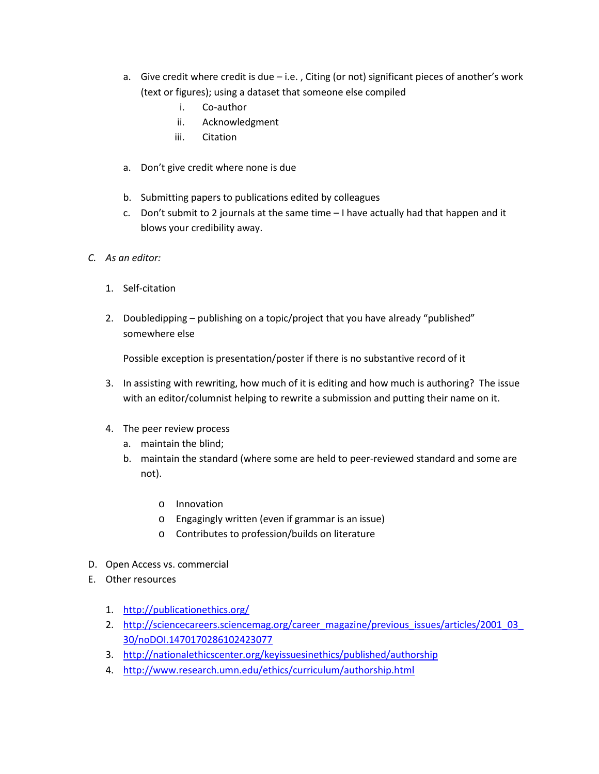- a. Give credit where credit is due i.e. , Citing (or not) significant pieces of another's work (text or figures); using a dataset that someone else compiled
	- i. Co-author
	- ii. Acknowledgment
	- iii. Citation
- a. Don't give credit where none is due
- b. Submitting papers to publications edited by colleagues
- c. Don't submit to 2 journals at the same time I have actually had that happen and it blows your credibility away.
- *C. As an editor:*
	- 1. Self-citation
	- 2. Doubledipping publishing on a topic/project that you have already "published" somewhere else

Possible exception is presentation/poster if there is no substantive record of it

- 3. In assisting with rewriting, how much of it is editing and how much is authoring? The issue with an editor/columnist helping to rewrite a submission and putting their name on it.
- 4. The peer review process
	- a. maintain the blind;
	- b. maintain the standard (where some are held to peer-reviewed standard and some are not).
		- o Innovation
		- o Engagingly written (even if grammar is an issue)
		- o Contributes to profession/builds on literature
- D. Open Access vs. commercial
- E. Other resources
	- 1. <http://publicationethics.org/>
	- 2. [http://sciencecareers.sciencemag.org/career\\_magazine/previous\\_issues/articles/2001\\_03\\_](http://sciencecareers.sciencemag.org/career_magazine/previous_issues/articles/2001_03_30/noDOI.1470170286102423077) [30/noDOI.1470170286102423077](http://sciencecareers.sciencemag.org/career_magazine/previous_issues/articles/2001_03_30/noDOI.1470170286102423077)
	- 3. <http://nationalethicscenter.org/keyissuesinethics/published/authorship>
	- 4. <http://www.research.umn.edu/ethics/curriculum/authorship.html>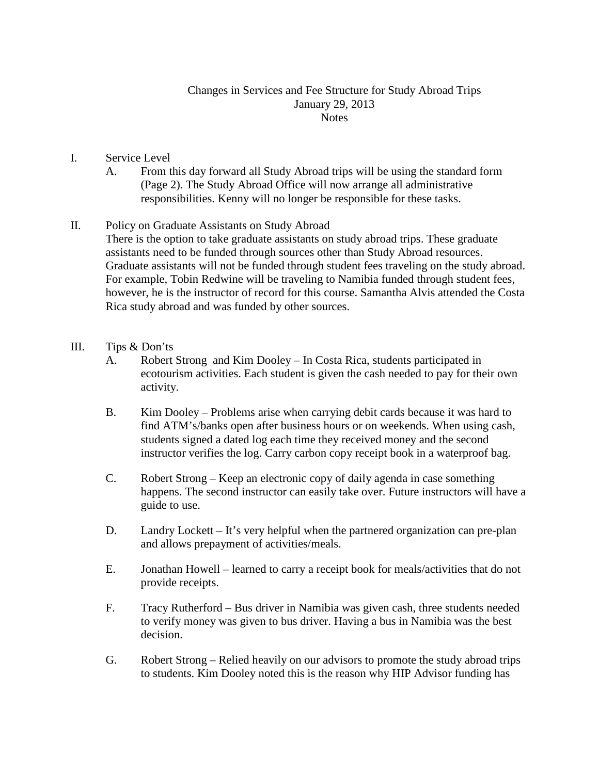### Changes in Services and Fee Structure for Study Abroad Trips January 29, 2013 **Notes**

- I. Service Level
	- A. From this day forward all Study Abroad trips will be using the standard form (Page 2). The Study Abroad Office will now arrange all administrative responsibilities. Kenny will no longer be responsible for these tasks.
- II. Policy on Graduate Assistants on Study Abroad
	- There is the option to take graduate assistants on study abroad trips. These graduate assistants need to be funded through sources other than Study Abroad resources. Graduate assistants will not be funded through student fees traveling on the study abroad. For example, Tobin Redwine will be traveling to Namibia funded through student fees, however, he is the instructor of record for this course. Samantha Alvis attended the Costa Rica study abroad and was funded by other sources.
- III. Tips & Don'ts
	- A. Robert Strong and Kim Dooley In Costa Rica, students participated in ecotourism activities. Each student is given the cash needed to pay for their own activity.
	- B. Kim Dooley Problems arise when carrying debit cards because it was hard to find ATM's/banks open after business hours or on weekends. When using cash, students signed a dated log each time they received money and the second instructor verifies the log. Carry carbon copy receipt book in a waterproof bag.
	- C. Robert Strong Keep an electronic copy of daily agenda in case something happens. The second instructor can easily take over. Future instructors will have a guide to use.
	- D. Landry Lockett It's very helpful when the partnered organization can pre-plan and allows prepayment of activities/meals.
	- E. Jonathan Howell learned to carry a receipt book for meals/activities that do not provide receipts.
	- F. Tracy Rutherford Bus driver in Namibia was given cash, three students needed to verify money was given to bus driver. Having a bus in Namibia was the best decision.
	- G. Robert Strong Relied heavily on our advisors to promote the study abroad trips to students. Kim Dooley noted this is the reason why HIP Advisor funding has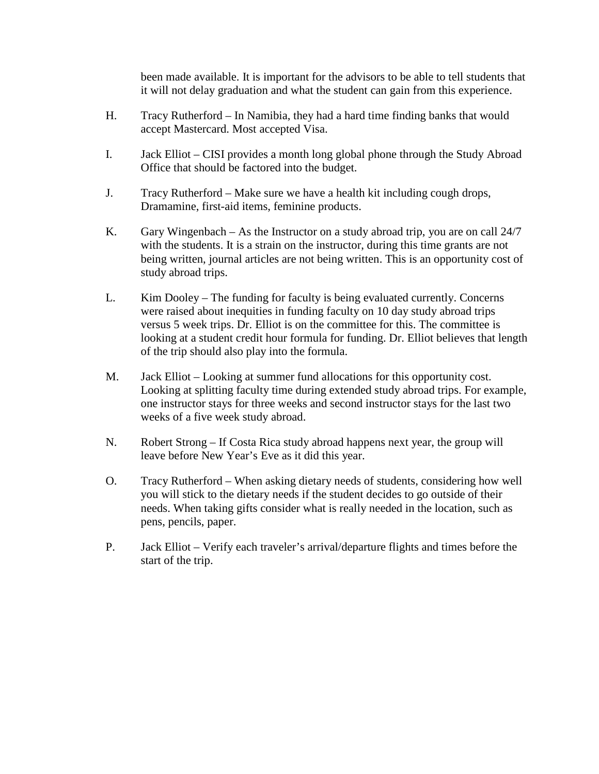been made available. It is important for the advisors to be able to tell students that it will not delay graduation and what the student can gain from this experience.

- H. Tracy Rutherford In Namibia, they had a hard time finding banks that would accept Mastercard. Most accepted Visa.
- I. Jack Elliot CISI provides a month long global phone through the Study Abroad Office that should be factored into the budget.
- J. Tracy Rutherford Make sure we have a health kit including cough drops, Dramamine, first-aid items, feminine products.
- K. Gary Wingenbach As the Instructor on a study abroad trip, you are on call 24/7 with the students. It is a strain on the instructor, during this time grants are not being written, journal articles are not being written. This is an opportunity cost of study abroad trips.
- L. Kim Dooley The funding for faculty is being evaluated currently. Concerns were raised about inequities in funding faculty on 10 day study abroad trips versus 5 week trips. Dr. Elliot is on the committee for this. The committee is looking at a student credit hour formula for funding. Dr. Elliot believes that length of the trip should also play into the formula.
- M. Jack Elliot Looking at summer fund allocations for this opportunity cost. Looking at splitting faculty time during extended study abroad trips. For example, one instructor stays for three weeks and second instructor stays for the last two weeks of a five week study abroad.
- N. Robert Strong If Costa Rica study abroad happens next year, the group will leave before New Year's Eve as it did this year.
- O. Tracy Rutherford When asking dietary needs of students, considering how well you will stick to the dietary needs if the student decides to go outside of their needs. When taking gifts consider what is really needed in the location, such as pens, pencils, paper.
- P. Jack Elliot Verify each traveler's arrival/departure flights and times before the start of the trip.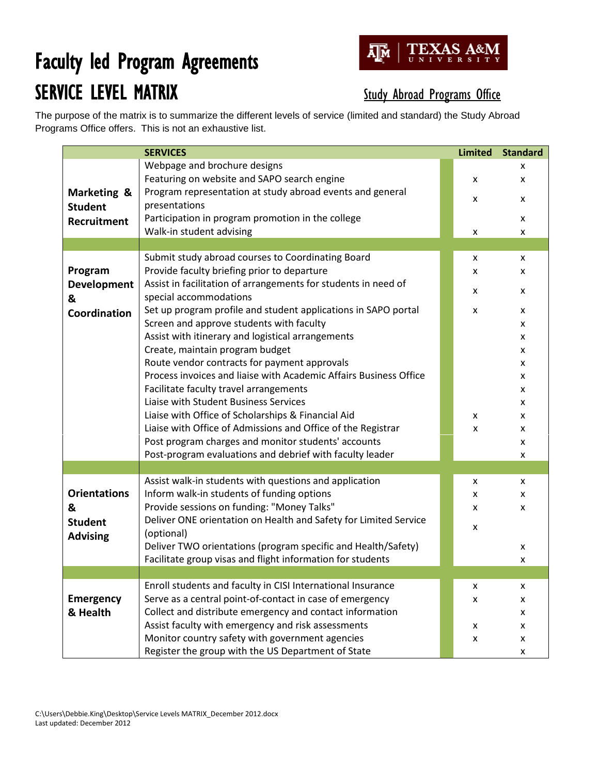## Faculty led Program Agreements SERVICE LEVEL MATRIX Study Abroad Programs Office



The purpose of the matrix is to summarize the different levels of service (limited and standard) the Study Abroad Programs Office offers. This is not an exhaustive list.

|                     | <b>SERVICES</b>                                                                                      | <b>Limited</b> | <b>Standard</b> |
|---------------------|------------------------------------------------------------------------------------------------------|----------------|-----------------|
|                     | Webpage and brochure designs                                                                         |                | x               |
|                     | Featuring on website and SAPO search engine                                                          | x              | x               |
| Marketing &         | Program representation at study abroad events and general                                            | x              | x               |
| <b>Student</b>      | presentations                                                                                        |                |                 |
| Recruitment         | Participation in program promotion in the college                                                    |                | X               |
|                     | Walk-in student advising                                                                             | X              | X               |
|                     |                                                                                                      |                |                 |
|                     | Submit study abroad courses to Coordinating Board                                                    | X              | X               |
| Program             | Provide faculty briefing prior to departure                                                          | x              | x               |
| <b>Development</b>  | Assist in facilitation of arrangements for students in need of                                       | x              | x               |
| &                   | special accommodations                                                                               |                |                 |
| Coordination        | Set up program profile and student applications in SAPO portal                                       | X              | x               |
|                     | Screen and approve students with faculty                                                             |                | x               |
|                     | Assist with itinerary and logistical arrangements                                                    |                | x               |
|                     | Create, maintain program budget                                                                      |                | x               |
|                     | Route vendor contracts for payment approvals                                                         |                | x               |
|                     | Process invoices and liaise with Academic Affairs Business Office                                    |                | x               |
|                     | Facilitate faculty travel arrangements                                                               |                | x               |
|                     | Liaise with Student Business Services                                                                |                | x               |
|                     | Liaise with Office of Scholarships & Financial Aid                                                   | X              | x               |
|                     | Liaise with Office of Admissions and Office of the Registrar                                         | X              | X               |
|                     | Post program charges and monitor students' accounts                                                  |                | x               |
|                     | Post-program evaluations and debrief with faculty leader                                             |                | x               |
|                     |                                                                                                      |                |                 |
| <b>Orientations</b> | Assist walk-in students with questions and application<br>Inform walk-in students of funding options | X              | X               |
|                     | Provide sessions on funding: "Money Talks"                                                           | x              | x               |
| &                   | Deliver ONE orientation on Health and Safety for Limited Service                                     | x              | x               |
| <b>Student</b>      | (optional)                                                                                           | X              |                 |
| <b>Advising</b>     | Deliver TWO orientations (program specific and Health/Safety)                                        |                | x               |
|                     | Facilitate group visas and flight information for students                                           |                | x               |
|                     |                                                                                                      |                |                 |
|                     | Enroll students and faculty in CISI International Insurance                                          | x              | X               |
| <b>Emergency</b>    | Serve as a central point-of-contact in case of emergency                                             | x              | x               |
| & Health            | Collect and distribute emergency and contact information                                             |                | x               |
|                     | Assist faculty with emergency and risk assessments                                                   | x              | X               |
|                     | Monitor country safety with government agencies                                                      | X              | x               |
|                     | Register the group with the US Department of State                                                   |                | X               |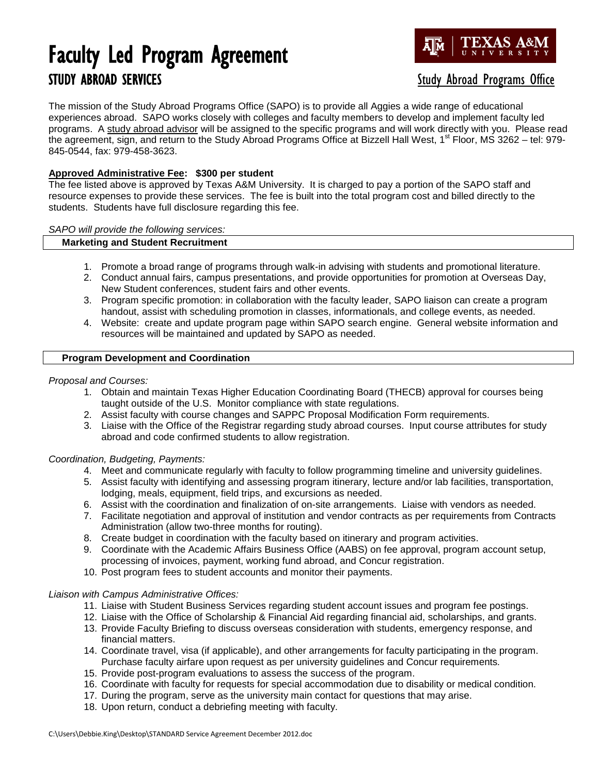### Faculty Led Program Agreement STUDY ABROAD SERVICES STUDY ABROAD SERVICES



The mission of the Study Abroad Programs Office (SAPO) is to provide all Aggies a wide range of educational experiences abroad. SAPO works closely with colleges and faculty members to develop and implement faculty led programs. A study abroad advisor will be assigned to the specific programs and will work directly with you. Please read the agreement, sign, and return to the Study Abroad Programs Office at Bizzell Hall West,  $1<sup>st</sup>$  Floor, MS 3262 – tel: 979-845-0544, fax: 979-458-3623.

### **Approved Administrative Fee: \$300 per student**

The fee listed above is approved by Texas A&M University. It is charged to pay a portion of the SAPO staff and resource expenses to provide these services. The fee is built into the total program cost and billed directly to the students. Students have full disclosure regarding this fee.

*SAPO will provide the following services:*

#### **Marketing and Student Recruitment**

- 1. Promote a broad range of programs through walk-in advising with students and promotional literature.
- 2. Conduct annual fairs, campus presentations, and provide opportunities for promotion at Overseas Day, New Student conferences, student fairs and other events.
- 3. Program specific promotion: in collaboration with the faculty leader, SAPO liaison can create a program handout, assist with scheduling promotion in classes, informationals, and college events, as needed.
- 4. Website: create and update program page within SAPO search engine. General website information and resources will be maintained and updated by SAPO as needed.

#### **Program Development and Coordination**

#### *Proposal and Courses:*

- 1. Obtain and maintain Texas Higher Education Coordinating Board (THECB) approval for courses being taught outside of the U.S. Monitor compliance with state regulations.
- 2. Assist faculty with course changes and SAPPC Proposal Modification Form requirements.
- 3. Liaise with the Office of the Registrar regarding study abroad courses. Input course attributes for study abroad and code confirmed students to allow registration.

#### *Coordination, Budgeting, Payments:*

- 4. Meet and communicate regularly with faculty to follow programming timeline and university guidelines.
- 5. Assist faculty with identifying and assessing program itinerary, lecture and/or lab facilities, transportation, lodging, meals, equipment, field trips, and excursions as needed.
- 6. Assist with the coordination and finalization of on-site arrangements. Liaise with vendors as needed.
- 7. Facilitate negotiation and approval of institution and vendor contracts as per requirements from Contracts Administration (allow two-three months for routing).
- 8. Create budget in coordination with the faculty based on itinerary and program activities.
- 9. Coordinate with the Academic Affairs Business Office (AABS) on fee approval, program account setup, processing of invoices, payment, working fund abroad, and Concur registration.
- 10. Post program fees to student accounts and monitor their payments.

#### *Liaison with Campus Administrative Offices:*

- 11. Liaise with Student Business Services regarding student account issues and program fee postings.
- 12. Liaise with the Office of Scholarship & Financial Aid regarding financial aid, scholarships, and grants.
- 13. Provide Faculty Briefing to discuss overseas consideration with students, emergency response, and financial matters.
- 14. Coordinate travel, visa (if applicable), and other arrangements for faculty participating in the program. Purchase faculty airfare upon request as per university guidelines and Concur requirements*.*
- 15. Provide post-program evaluations to assess the success of the program.
- 16. Coordinate with faculty for requests for special accommodation due to disability or medical condition.
- 17. During the program, serve as the university main contact for questions that may arise.
- 18. Upon return, conduct a debriefing meeting with faculty.